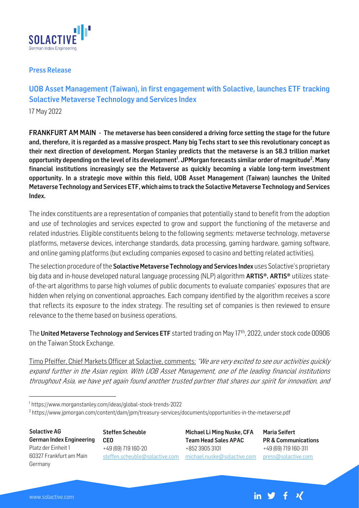

## Press Release

## UOB Asset Management (Taiwan), in first engagement with Solactive, launches ETF tracking Solactive Metaverse Technology and Services Index

17 May 2022

FRANKFURT AM MAIN - The metaverse has been considered a driving force setting the stage for the future and, therefore, it is regarded as a massive prospect. Many big Techs start to see this revolutionary concept as their next direction of development. Morgan Stanley predicts that the metaverse is an \$8.3 trillion market opportunity depending on the level of its development<sup>1</sup>. JPMorgan forecasts similar order of magnitude<sup>2</sup>. Many financial institutions increasingly see the Metaverse as quickly becoming a viable long-term investment opportunity. In a strategic move within this field, UOB Asset Management (Taiwan) launches the United Metaverse Technology and Services ETF, which aims to track the Solactive Metaverse Technology and Services Index.

The index constituents are a representation of companies that potentially stand to benefit from the adoption and use of technologies and services expected to grow and support the functioning of the metaverse and related industries. Eligible constituents belong to the following segments: metaverse technology, metaverse platforms, metaverse devices, interchange standards, data processing, gaming hardware, gaming software, and online gaming platforms (but excluding companies exposed to casino and betting related activities).

The selection procedure of the **Solactive Metaverse Technology and Services Index** uses Solactive's proprietary big data and in-house developed natural language processing (NLP) algorithm **ARTIS®. ARTIS®** utilizes stateof-the-art algorithms to parse high volumes of public documents to evaluate companies' exposures that are hidden when relying on conventional approaches. Each company identified by the algorithm receives a score that reflects its exposure to the index strategy. The resulting set of companies is then reviewed to ensure relevance to the theme based on business operations.

The United Metaverse Technology and Services ETF started trading on May 17<sup>th</sup>, 2022, under stock code 00906 on the Taiwan Stock Exchange.

Timo Pfeiffer, Chief Markets Officer at Solactive, comments: "We are very excited to see our activities quickly expand further in the Asian region. With UOB Asset Management, one of the leading financial institutions throughout Asia, we have yet again found another trusted partner that shares our spirit for innovation, and

1 https://www.morganstanley.com/ideas/global-stock-trends-2022

 $^2$  https://www.jpmorgan.com/content/dam/jpm/treasury-services/documents/opportunities-in-the-metaverse.pdf

Solactive AG German Index Engineering Platz der Einheit 1 60327 Frankfurt am Main Germany

Steffen Scheuble CEO +49 (69) 719 160-20 [steffen.scheuble@solactive.com](mailto:steffen.scheuble@solactive.com)

Michael Li Ming Nuske, CFA Team Head Sales APAC +852 3905 3101 [michael.nuske@solactive.com](mailto:michael.nuske@solactive.com)

Maria Seifert PR & Communications +49 (69) 719 160-311 press@solactive.com

 $+$   $\mathcal{U}$ 

in  $\mathcal Y$